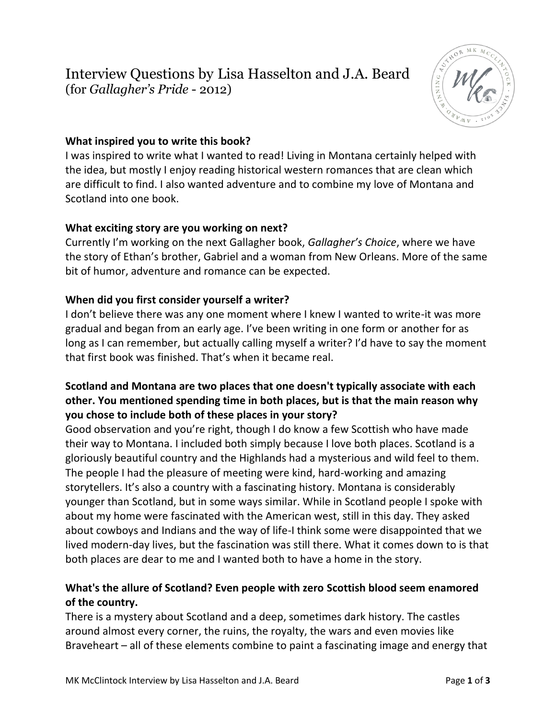## Interview Questions by Lisa Hasselton and J.A. Beard (for *Gallagher's Pride* - 2012)



## **What inspired you to write this book?**

I was inspired to write what I wanted to read! Living in Montana certainly helped with the idea, but mostly I enjoy reading historical western romances that are clean which are difficult to find. I also wanted adventure and to combine my love of Montana and Scotland into one book.

## **What exciting story are you working on next?**

Currently I'm working on the next Gallagher book, *Gallagher's Choice*, where we have the story of Ethan's brother, Gabriel and a woman from New Orleans. More of the same bit of humor, adventure and romance can be expected.

#### **When did you first consider yourself a writer?**

I don't believe there was any one moment where I knew I wanted to write-it was more gradual and began from an early age. I've been writing in one form or another for as long as I can remember, but actually calling myself a writer? I'd have to say the moment that first book was finished. That's when it became real.

## **Scotland and Montana are two places that one doesn't typically associate with each other. You mentioned spending time in both places, but is that the main reason why you chose to include both of these places in your story?**

Good observation and you're right, though I do know a few Scottish who have made their way to Montana. I included both simply because I love both places. Scotland is a gloriously beautiful country and the Highlands had a mysterious and wild feel to them. The people I had the pleasure of meeting were kind, hard-working and amazing storytellers. It's also a country with a fascinating history. Montana is considerably younger than Scotland, but in some ways similar. While in Scotland people I spoke with about my home were fascinated with the American west, still in this day. They asked about cowboys and Indians and the way of life-I think some were disappointed that we lived modern-day lives, but the fascination was still there. What it comes down to is that both places are dear to me and I wanted both to have a home in the story.

## **What's the allure of Scotland? Even people with zero Scottish blood seem enamored of the country.**

There is a mystery about Scotland and a deep, sometimes dark history. The castles around almost every corner, the ruins, the royalty, the wars and even movies like Braveheart – all of these elements combine to paint a fascinating image and energy that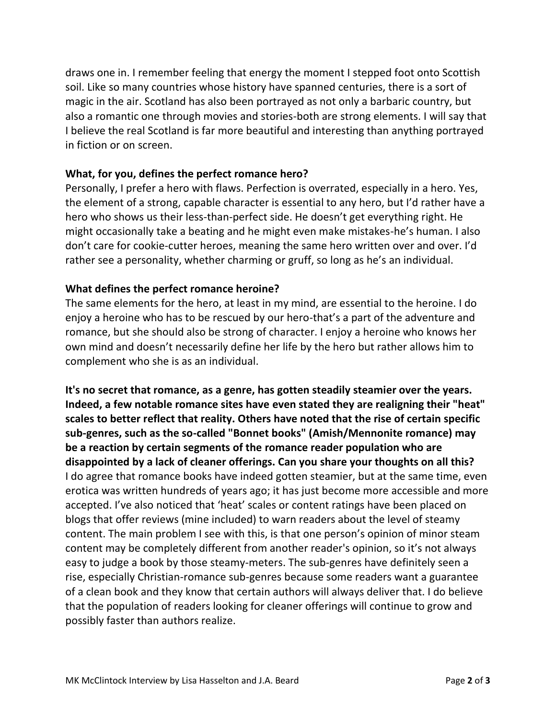draws one in. I remember feeling that energy the moment I stepped foot onto Scottish soil. Like so many countries whose history have spanned centuries, there is a sort of magic in the air. Scotland has also been portrayed as not only a barbaric country, but also a romantic one through movies and stories-both are strong elements. I will say that I believe the real Scotland is far more beautiful and interesting than anything portrayed in fiction or on screen.

#### **What, for you, defines the perfect romance hero?**

Personally, I prefer a hero with flaws. Perfection is overrated, especially in a hero. Yes, the element of a strong, capable character is essential to any hero, but I'd rather have a hero who shows us their less-than-perfect side. He doesn't get everything right. He might occasionally take a beating and he might even make mistakes-he's human. I also don't care for cookie-cutter heroes, meaning the same hero written over and over. I'd rather see a personality, whether charming or gruff, so long as he's an individual.

#### **What defines the perfect romance heroine?**

The same elements for the hero, at least in my mind, are essential to the heroine. I do enjoy a heroine who has to be rescued by our hero-that's a part of the adventure and romance, but she should also be strong of character. I enjoy a heroine who knows her own mind and doesn't necessarily define her life by the hero but rather allows him to complement who she is as an individual.

**It's no secret that romance, as a genre, has gotten steadily steamier over the years. Indeed, a few notable romance sites have even stated they are realigning their "heat" scales to better reflect that reality. Others have noted that the rise of certain specific sub-genres, such as the so-called "Bonnet books" (Amish/Mennonite romance) may be a reaction by certain segments of the romance reader population who are disappointed by a lack of cleaner offerings. Can you share your thoughts on all this?**  I do agree that romance books have indeed gotten steamier, but at the same time, even erotica was written hundreds of years ago; it has just become more accessible and more accepted. I've also noticed that 'heat' scales or content ratings have been placed on blogs that offer reviews (mine included) to warn readers about the level of steamy content. The main problem I see with this, is that one person's opinion of minor steam content may be completely different from another reader's opinion, so it's not always easy to judge a book by those steamy-meters. The sub-genres have definitely seen a rise, especially Christian-romance sub-genres because some readers want a guarantee of a clean book and they know that certain authors will always deliver that. I do believe that the population of readers looking for cleaner offerings will continue to grow and possibly faster than authors realize.